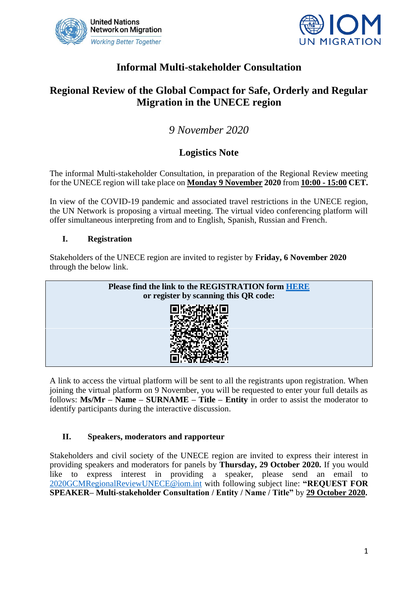



## **Informal Multi-stakeholder Consultation**

## **Regional Review of the Global Compact for Safe, Orderly and Regular Migration in the UNECE region**

# *9 November 2020*

### **Logistics Note**

The informal Multi-stakeholder Consultation, in preparation of the Regional Review meeting for the UNECE region will take place on **Monday 9 November 2020** from **10:00 - 15:00 CET.**

In view of the COVID-19 pandemic and associated travel restrictions in the UNECE region, the UN Network is proposing a virtual meeting. The virtual video conferencing platform will offer simultaneous interpreting from and to English, Spanish, Russian and French.

#### **I. Registration**

Stakeholders of the UNECE region are invited to register by **Friday, 6 November 2020**  through the below link.



A link to access the virtual platform will be sent to all the registrants upon registration. When joining the virtual platform on 9 November, you will be requested to enter your full details as follows: **Ms/Mr – Name – SURNAME – Title – Entity** in order to assist the moderator to identify participants during the interactive discussion.

#### **II. Speakers, moderators and rapporteur**

Stakeholders and civil society of the UNECE region are invited to express their interest in providing speakers and moderators for panels by **Thursday, 29 October 2020.** If you would like to express interest in providing a speaker, please send an email to [2020GCMRegionalReviewUNECE@iom.int](mailto:2020GCMRegionalReviewUNECE@iom.int) with following subject line: **"REQUEST FOR SPEAKER– Multi-stakeholder Consultation / Entity / Name / Title"** by **29 October 2020.**